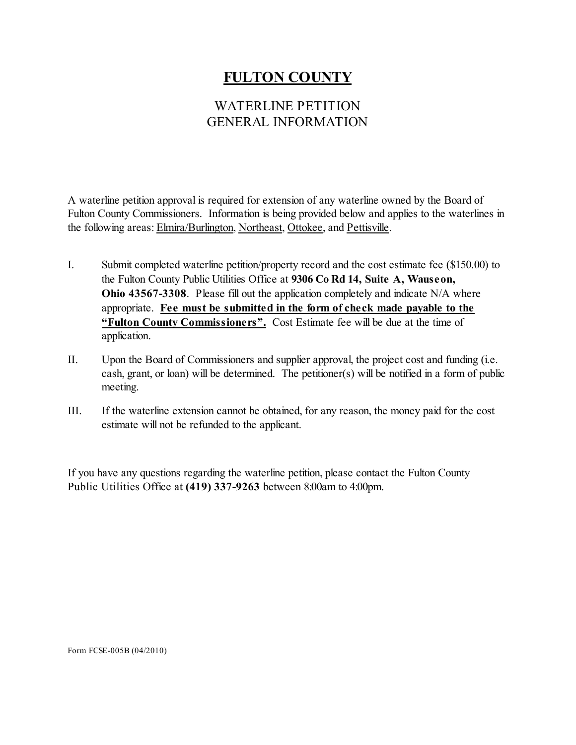# **FULTON COUNTY**

## WATERLINE PETITION GENERAL INFORMATION

A waterline petition approval is required for extension of any waterline owned by the Board of Fulton County Commissioners. Information is being provided below and applies to the waterlines in the following areas: Elmira/Burlington, Northeast, Ottokee, and Pettisville.

- I. Submit completed waterline petition/property record and the cost estimate fee (\$150.00) to the Fulton County Public Utilities Office at **9306 Co Rd 14, Suite A, Wauseon, Ohio 43567-3308**. Please fill out the application completely and indicate N/A where appropriate. **Fee must be submitted in the form of check made payable to the "Fulton County Commissioners".** Cost Estimate fee will be due at the time of application.
- II. Upon the Board of Commissioners and supplier approval, the project cost and funding (i.e. cash, grant, or loan) will be determined. The petitioner(s) will be notified in a form of public meeting.
- III. If the waterline extension cannot be obtained, for any reason, the money paid for the cost estimate will not be refunded to the applicant.

If you have any questions regarding the waterline petition, please contact the Fulton County Public Utilities Office at **(419) 337-9263** between 8:00am to 4:00pm.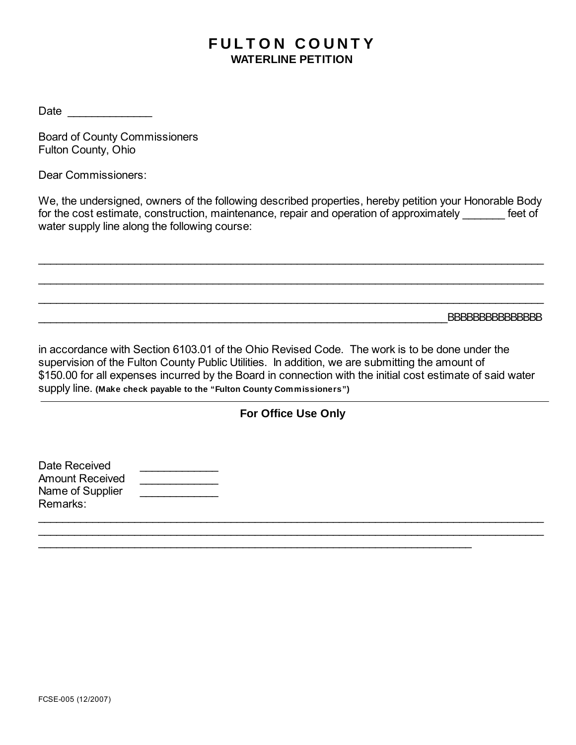# **FULTON COUNTY WATERLINE PETITION**

Date \_\_\_\_\_\_\_\_\_\_\_\_\_\_

Board of County Commissioners Fulton County, Ohio

Dear Commissioners:

We, the undersigned, owners of the following described properties, hereby petition your Honorable Body for the cost estimate, construction, maintenance, repair and operation of approximately feet of water supply line along the following course:

\_\_\_\_\_\_\_\_\_\_\_\_\_\_\_\_\_\_\_\_\_\_\_\_\_\_\_\_\_\_\_\_\_\_\_\_\_\_\_\_\_\_\_\_\_\_\_\_\_\_\_\_\_\_\_\_\_\_\_\_\_\_\_\_\_\_\_\_\_\_\_\_\_\_\_\_\_\_\_\_\_\_\_\_

 $\overline{\phantom{a}}$  , and the contribution of the contribution of the contribution of the contribution of the contribution of the contribution of the contribution of the contribution of the contribution of the contribution of the

\_\_\_\_\_\_\_\_\_\_\_\_\_\_\_\_\_\_\_\_\_\_\_\_\_\_\_\_\_\_\_\_\_\_\_\_\_\_\_\_\_\_\_\_\_\_\_\_\_\_\_\_\_\_\_\_\_\_\_\_\_\_\_\_\_\_\_\_\_\_\_\_\_\_\_\_\_\_\_\_\_\_\_\_

\_\_\_\_\_\_\_\_\_\_\_\_\_\_\_\_\_\_\_\_\_\_\_\_\_\_\_\_\_\_\_\_\_\_\_\_\_\_\_\_\_\_\_\_\_\_\_\_\_\_\_\_\_\_\_\_\_\_\_\_\_\_\_\_\_\_\_\_BBBBBBBBBBBBBBB

in accordance with Section 6103.01 of the Ohio Revised Code. The work is to be done under the supervision of the Fulton County Public Utilities. In addition, we are submitting the amount of \$150.00 for all expenses incurred by the Board in connection with the initial cost estimate of said water supply line. **(Make check payable to the "Fulton County Commissioners")**

#### **For Office Use Only**

 $\overline{a}$  , and the contribution of the contribution of the contribution of the contribution of the contribution of the contribution of the contribution of the contribution of the contribution of the contribution of the co \_\_\_\_\_\_\_\_\_\_\_\_\_\_\_\_\_\_\_\_\_\_\_\_\_\_\_\_\_\_\_\_\_\_\_\_\_\_\_\_\_\_\_\_\_\_\_\_\_\_\_\_\_\_\_\_\_\_\_\_\_\_\_\_\_\_\_\_\_\_\_\_\_\_\_\_\_\_\_\_\_\_\_\_

 $\overline{\phantom{a}}$  , and the contribution of the contribution of the contribution of the contribution of the contribution of the contribution of the contribution of the contribution of the contribution of the contribution of the

| Date Received    |  |
|------------------|--|
| Amount Received  |  |
| Name of Supplier |  |
| Remarks:         |  |